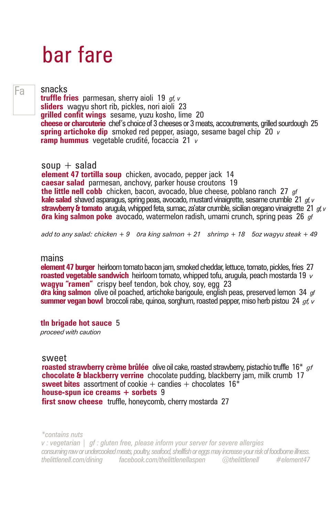# bar fare

### Fa

snacks **truffle fries** parmesan, sherry aioli 19 *gf, v* **sliders** wagyu short rib, pickles, nori aioli 23 **grilled confit wings** sesame, yuzu kosho, lime 20 **cheese or charcuterie** chef's choice of 3 cheeses or 3 meats, accoutrements, grilled sourdough 25 **spring artichoke dip** smoked red pepper, asiago, sesame bagel chip 20 *v* **ramp hummus** vegetable crudité, focaccia 21 *v*

soup  $+$  salad

**element 47 tortilla soup** chicken, avocado, pepper jack 14 **caesar salad** parmesan, anchovy, parker house croutons 19 **the little nell cobb** chicken, bacon, avocado, blue cheese, poblano ranch 27 *gf* **kale salad** shaved asparagus, spring peas, avocado, mustard vinaigrette, sesame crumble 21 *gf, v* **strawberry & tomato** arugula, whipped feta, sumac, za'atar crumble, sicilian oregano vinaigrette 21 *gf, v* **ora king salmon poke** avocado, watermelon radish, umami crunch, spring peas 26 *gf*

*add to any salad: chicken + 9 ora king salmon + 21 shrimp + 18 5oz wagyu steak + 49* 

#### mains

**element 47 burger** heirloom tomato bacon jam, smoked cheddar, lettuce, tomato, pickles, fries 27 **roasted vegetable sandwich**heirloom tomato, whipped tofu, arugula, peach mostarda 19 *v*  **wagyu "ramen"** crispy beef tendon, bok choy, soy, egg 23 **ora king salmon** olive oil poached, artichoke barigoule, english peas, preserved lemon 34 *gf* **summer vegan bowl** broccoli rabe, quinoa, sorghum, roasted pepper, miso herb pistou 24 *gf, v*

**tln brigade hot sauce** 5 *proceed with caution*

#### sweet

**roasted strawberry crème brûlée** olive oil cake, roasted strawberry, pistachio truffle 16\* *gf* **chocolate & blackberry verrine** chocolate pudding, blackberry jam, milk crumb 17 **sweet bites** assortment of cookie  $+$  candies  $+$  chocolates 16<sup>\*</sup> **house-spun ice creams + sorbets** 9 **first snow cheese** truffle, honeycomb, cherry mostarda 27

*\*contains nuts*

*v : vegetarian | gf : gluten free, please inform your server for severe allergies consuming raw or undercooked meats, poultry, seafood, shellfish or eggs may increase your risk of foodborne illness. thelittlenell.com/dining facebook.com/thelittlenellaspen @thelittlenell #element47*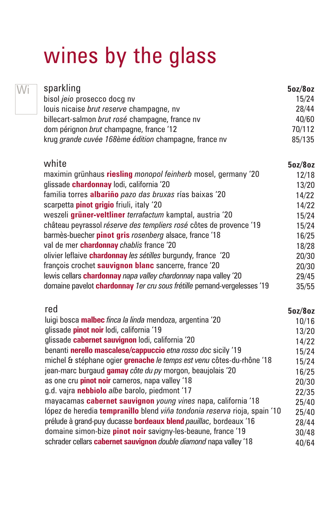# wines by the glass

Wi

| sparkling                                             | 5oz/8oz |
|-------------------------------------------------------|---------|
| bisol jeio prosecco docq nv                           | 15/24   |
| louis nicaise brut reserve champagne, nv              | 28/44   |
| billecart-salmon brut rosé champagne, france nv       | 40/60   |
| dom pérignon brut champagne, france '12               | 70/112  |
| krug grande cuvée 168ème édition champagne, france nv | 85/135  |

| white                                                                           | 5oz/8oz |
|---------------------------------------------------------------------------------|---------|
| maximin grünhaus riesling monopol feinherb mosel, germany '20                   | 12/18   |
| glissade chardonnay lodi, california '20                                        | 13/20   |
| familia torres albariño pazo das bruxas rías baixas '20                         | 14/22   |
| scarpetta <i>pinot grigio</i> friuli, italy '20                                 | 14/22   |
| weszeli grüner-veltliner terrafactum kamptal, austria '20                       | 15/24   |
| château peyrassol réserve des templiers rosé côtes de provence '19              | 15/24   |
| barmès-buecher pinot gris rosenberg alsace, france '18                          | 16/25   |
| val de mer chardonnay chablis france '20                                        | 18/28   |
| olivier leflaive chardonnay les sétilles burgundy, france '20                   | 20/30   |
| françois crochet sauvignon blanc sancerre, france '20                           | 20/30   |
| lewis cellars <b>chardonnay</b> napa valley chardonnay napa valley '20          | 29/45   |
| domaine pavelot <b>chardonnay</b> 1er cru sous frétille pernand-vergelesses '19 | 35/55   |
|                                                                                 |         |

#### **5oz/8oz** 10/16 13/20 14/22 15/24 15/24 16/25 20/30 22/35 25/40 25/40 28/44 30/48 40/64 red luigi bosca **malbec** *finca la linda* mendoza, argentina '20 glissade **pinot noir** lodi, california '19 glissade **cabernet sauvignon** lodi, california '20 benanti **nerello mascalese/cappuccio** *etna rosso doc* sicily '19 michel & stéphane ogier **grenache** *le temps est venu* côtes-du-rhône '18 jean-marc burgaud **gamay** *côte du py* morgon, beaujolais '20 as one cru **pinot noir** carneros, napa valley '18 g.d. vajra **nebbiolo** *albe* barolo, piedmont '17 mayacamas **cabernet sauvignon** *young vines* napa, california '18 lópez de heredia **tempranillo** blend *viña tondonia reserva* rioja, spain '10 prélude à grand-puy ducasse **bordeaux blend** *pauillac*, bordeaux '16 domaine simon-bize **pinot noir** savigny-les-beaune, france '19 schrader cellars **cabernet sauvignon** *double diamond* napa valley '18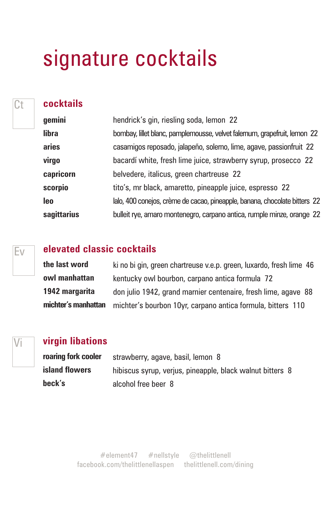# signature cocktails

Ct **cocktails** 

| gemini      | hendrick's gin, riesling soda, lemon 22                                    |
|-------------|----------------------------------------------------------------------------|
| libra       | bombay, lillet blanc, pamplemousse, velvet falemum, grapefruit, lemon 22   |
| aries       | casamigos reposado, jalapeño, solerno, lime, agave, passionfruit 22        |
| virgo       | bacardí white, fresh lime juice, strawberry syrup, prosecco 22             |
| capricorn   | belvedere, italicus, green chartreuse 22                                   |
| scorpio     | tito's, mr black, amaretto, pineapple juice, espresso 22                   |
| <b>leo</b>  | lalo, 400 conejos, crème de cacao, pineapple, banana, chocolate bitters 22 |
| sagittarius | bulleit rye, amaro montenegro, carpano antica, rumple minze, orange 22     |

## **elevated classic cocktails**

**the last word owl manhattan 1942 margarita michter's manhattan** ki no bi gin, green chartreuse v.e.p. green, luxardo, fresh lime 46 kentucky owl bourbon, carpano antica formula 72 don julio 1942, grand marnier centenaire, fresh lime, agave 88 michter's bourbon 10yr, carpano antica formula, bitters 110

Ev

### Vi **virgin libations**

| roaring fork cooler | strawberry, agave, basil, lemon 8                         |  |
|---------------------|-----------------------------------------------------------|--|
| island flowers      | hibiscus syrup, verjus, pineapple, black walnut bitters 8 |  |
| beck's              | alcohol free beer 8                                       |  |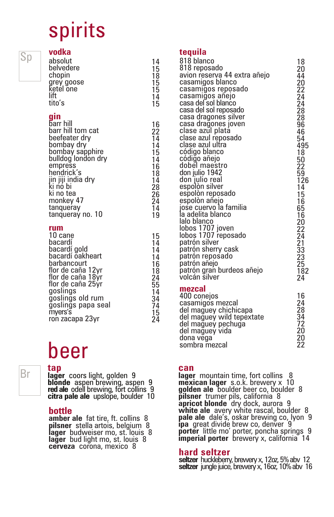# spirits

# Sp

| vodka                                                                       |                                        |
|-----------------------------------------------------------------------------|----------------------------------------|
| absolut<br>belvedere<br>chopin<br>grey goose<br>ketel one<br>lift<br>tito's | 14<br>15<br>18<br>15<br>15<br>14<br>15 |
|                                                                             |                                        |

### **gin**

| hendrick's<br>18<br>jin jiji india dry<br>ki no bi<br>14<br>28<br>ki no tea<br>26<br>monkey 47<br>24<br>tanqueray<br>14<br>tanqueray no. 10<br>19 |
|---------------------------------------------------------------------------------------------------------------------------------------------------|
|---------------------------------------------------------------------------------------------------------------------------------------------------|

### **rum**

| 10 cane            | 15              |
|--------------------|-----------------|
| bacardí            | 14              |
| þacardí gold       | 14              |
| bacardí ŏakheart   | 14              |
| barbancourt        | 16              |
| flor de caña 12vr  | 18              |
| flor de caña 18yr  | 24              |
| flor de caña 25ýr  | $\overline{55}$ |
| goslings           | 14              |
| ğoslinğs old rum   | 34              |
| ğoslinğs papa seal | 74              |
| myers′s            | 15              |
| ron zacapa 23yr    | 24              |
|                    |                 |

# beer

Br **can coors light, golden 9** can **can lager blonde** aspen brewing, aspen 9 **red ale** odell brewing, fort collins 9 **citra pale ale** upslope, boulder 10

### **bottle**

**tap** 

**amber ale** fat tire, ft. collins 8 **pilsner** stella artois, belgium 8 **lager** budweiser mo, st. louis 8 **lager** bud light mo, st. louis 8 **cerveza** corona, mexico 8

#### **tequila**

| 818 blanco<br>818 reposado<br>avion reserva 44 extra añejo<br>casamigos blanco<br>casamigos reposado<br>casamiğos añejo<br>casa del sol blanco<br>casa del sol reposado<br>casa dragones silver<br>casa dragones joven<br>clase azul plata<br>clase azul reposado<br>clase azul ultra<br>código blanco<br>código añejo<br>dobel maestro<br>don julio 1942<br>don julio real<br>espolòn silver<br>espolòn reposado<br>espolòn añejo<br>iose cuervo la familia<br>la adelita blanco<br>lalo blanco<br>lobos 1707 joven<br>lobos 1707 reposado<br>patrón silver<br>patrón sherry cask<br>patrón reposado<br>patrón añejo<br>patrón gran burdeos añejo<br>volcán šilver | 18<br>20<br>44<br>20<br>22<br>24<br>24<br>28<br>28<br>96<br>46<br>54<br>495<br>18<br>50<br>22<br>59<br>59<br>126<br>14<br>15<br>16<br>65<br>16<br>20<br>22<br>24<br>21<br>33<br>23<br>23<br>$\overline{2}5$<br>182<br>24 |
|---------------------------------------------------------------------------------------------------------------------------------------------------------------------------------------------------------------------------------------------------------------------------------------------------------------------------------------------------------------------------------------------------------------------------------------------------------------------------------------------------------------------------------------------------------------------------------------------------------------------------------------------------------------------|--------------------------------------------------------------------------------------------------------------------------------------------------------------------------------------------------------------------------|
| mezcal<br>400 conejos<br>casamigos mezcal<br>del maguey chichicapa<br>del mağuey wild tepextate<br>del maguey pechuga<br>del mağuey vida<br>dona vega                                                                                                                                                                                                                                                                                                                                                                                                                                                                                                               | 16<br>24<br>28<br>34<br>72<br>20<br>20                                                                                                                                                                                   |

**lager** mountain time, fort collins 8 **mexican lager** s.o.k. brewery x 10 **golden ale** boulder beer co, boulder 8 **pilsner** trumer pils, california 8 **apricot blonde** dry dock, aurora 9 **white ale** avery white rascal, boulder 8 **pale ale** dale's, oskar brewing co, lyon 9 **ipa** great divide brew co, denver 9 **porter** little mo' porter, poncha springs 9 **imperial porter** brewery x, california 14

22

#### **hard seltzer**

sombra mezcal

**seltzer** huckleberry, brewery x, 12oz, 5% abv 12 **seltzer** jungle juice, brewery x, 16oz, 10% abv 16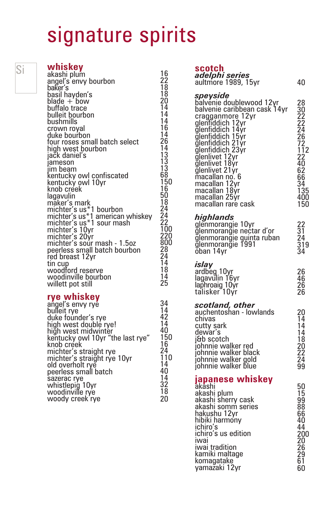# signature spirits

| Si | whiskey<br>akashi plum<br>angel's envy bourbon<br>baker′s                                                                                                                                                                                                                                              | 16<br>22<br>$\overline{18}$                                                                                             | scotch<br>adelphi<br>aultmore                                                                                                                                                                           |
|----|--------------------------------------------------------------------------------------------------------------------------------------------------------------------------------------------------------------------------------------------------------------------------------------------------------|-------------------------------------------------------------------------------------------------------------------------|---------------------------------------------------------------------------------------------------------------------------------------------------------------------------------------------------------|
|    | basil hayden's<br>blade + bow<br>buffalo trace<br>bulleit bourbon<br>bushmills<br>crown royal<br>duke bourbon<br>four roses small batch select<br>high west bourbon<br>jačk danieľs<br>jameson<br>iim beam<br>kentucky owl confiscated<br>kentucky owl 10yr<br>knob créek<br>lagavulin<br>māker's mark | $\overline{18}$<br>20<br>14<br>14<br>14<br>16<br>14<br>26<br>14<br>13<br>$\frac{13}{13}$<br>68<br>150<br>16<br>50<br>18 | speysia<br>balvenie<br>balvenie<br>craggann<br>dieutiddi<br>ğlenfiddio<br>ğlenfiddio<br>ğlenfiddio<br>glenfiddio<br>glenlivet<br>ğļenļivet<br>ğlenliyet<br>macallan<br>macallan<br>macallan<br>macallan |
|    | michter's us*1 bourbon<br>michter's us*1 american whiskey<br>michter's us*1 sour mash<br>michter's 10yr<br>michter's 20yr<br>michter's sour mash - 1.5oz<br>peerless small batch bourbon<br>red breast 12yr                                                                                            | 24<br>24<br>22<br>100<br>220<br>800<br>ŽŘ<br>24                                                                         | macallan<br>highlan<br>glenmora<br>glenmora<br>glenmora<br>glenmora<br>ŏban 14y                                                                                                                         |
|    | tin cup<br>woodford reserve<br>woodinville bourbon<br>willett pot still                                                                                                                                                                                                                                | 14<br>18<br>14<br>25                                                                                                    | islay<br>ardbeg <sub>1</sub><br>ļagavulin<br>laphroaid                                                                                                                                                  |

## **rye whiskey** angel's envy rye

| angel's envy ryė́<br>bulleit rye             | 34<br>14        |
|----------------------------------------------|-----------------|
|                                              |                 |
| duke foúnder's rye                           | 42              |
| high west double rye!<br>high west midwinter | 14              |
|                                              | 40              |
| kentucky owl 10yr "the last rye"             | 150             |
| knob créek                                   | 16              |
| michter's straight rye                       | 24              |
| michter's straight rye 10yr                  | 110             |
| old overholt ryĕ                             | 14              |
| peerless small batch                         | 40              |
| sazerac rye                                  | 14              |
| whistlepig 10yr                              | 32              |
| woodinville rye<br>woody creek rye           | $\overline{18}$ |
|                                              | 20              |
|                                              |                 |

| <i>adelphi series</i><br>aultmore 1989, 15yr                                                                                                                                                                                                                                                                                | 40                                                                                                                                    |
|-----------------------------------------------------------------------------------------------------------------------------------------------------------------------------------------------------------------------------------------------------------------------------------------------------------------------------|---------------------------------------------------------------------------------------------------------------------------------------|
| speyside<br>balvénie doublewood 12yr<br>balvenie caribbean cask 14yr<br>cragganmore 12yr<br>glenfiddich 12yr<br>glenfiddich 14yr<br>glenfiddich 15yr<br>glenfiddich 15yr<br>glenfiddich 21yr<br>glenlivet 12yr<br>glenlivet 21yr<br>macallan no. 6<br>macallan 12yr<br>macaḷḷan 18ýr<br>macaḷḷan 25ýr<br>macallan rare cask | 28<br>30<br>222<br>24<br>26<br>27<br>72<br>$\frac{1}{2}$<br>$\frac{2}{2}$<br>40<br>62<br>$6\bar{6}$<br>34<br>135<br>135<br>400<br>150 |
| highlands<br>gļēnmorangie 10yr<br>ğlenmoranğie nectar d'or<br>ğlenmoranğie guinta ruban<br>ğļenmoranğie 1991<br>oban 14yr                                                                                                                                                                                                   | 22<br>31<br>24<br>319<br>34                                                                                                           |
| islay<br>ardbeg <sub>10yr</sub><br>lagavŭlin 16yr<br>laphroaig 10yr<br>talisker 10yr                                                                                                                                                                                                                                        | 26<br>46<br>26<br>26                                                                                                                  |
| scotland, other<br>auchentoshan - Iowlands<br>chivas<br>cutty sark<br>dewar's<br>।ਖb scotch<br>johnnie walker red<br>johnnie walker black<br>johnnie walker gold<br>johnnie walker blue                                                                                                                                     | 20<br>14<br>14<br>14<br>$\overline{18}$<br>2Ō<br>22<br>24<br>99                                                                       |
| japanese whiskey<br>akāshi<br>akashi plum<br>akashi sherry cask<br>akashi somm series<br>hakushu 12yr<br>hibiki harmony<br>ichiro's<br>ichiro's us edition<br>iwaı<br>ıwai tradition<br>kamiki maltage<br>komagatake<br>yamažaki 12yr                                                                                       | 50<br>15<br>$\frac{99}{1}$<br>88<br>66<br>40<br>44<br>200<br>20<br>26<br>29<br>29<br>61<br>60                                         |